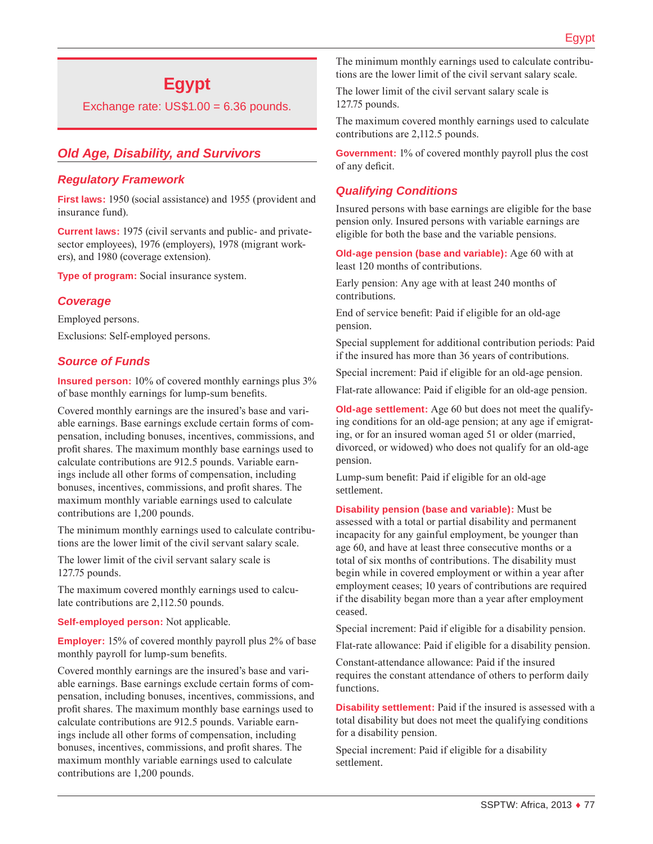# **Egypt**

Exchange rate: US\$1.00 = 6.36 pounds.

# *Old Age, Disability, and Survivors*

### *Regulatory Framework*

**First laws:** 1950 (social assistance) and 1955 (provident and insurance fund).

**Current laws:** 1975 (civil servants and public- and privatesector employees), 1976 (employers), 1978 (migrant workers), and 1980 (coverage extension).

**Type of program:** Social insurance system.

### *Coverage*

Employed persons.

Exclusions: Self-employed persons.

### *Source of Funds*

**Insured person:** 10% of covered monthly earnings plus 3% of base monthly earnings for lump-sum benefits.

Covered monthly earnings are the insured's base and variable earnings. Base earnings exclude certain forms of compensation, including bonuses, incentives, commissions, and profit shares. The maximum monthly base earnings used to calculate contributions are 912.5 pounds. Variable earnings include all other forms of compensation, including bonuses, incentives, commissions, and profit shares. The maximum monthly variable earnings used to calculate contributions are 1,200 pounds.

The minimum monthly earnings used to calculate contributions are the lower limit of the civil servant salary scale.

The lower limit of the civil servant salary scale is 127.75 pounds.

The maximum covered monthly earnings used to calculate contributions are 2,112.50 pounds.

**Self-employed person:** Not applicable.

**Employer:** 15% of covered monthly payroll plus 2% of base monthly payroll for lump-sum benefits.

Covered monthly earnings are the insured's base and variable earnings. Base earnings exclude certain forms of compensation, including bonuses, incentives, commissions, and profit shares. The maximum monthly base earnings used to calculate contributions are 912.5 pounds. Variable earnings include all other forms of compensation, including bonuses, incentives, commissions, and profit shares. The maximum monthly variable earnings used to calculate contributions are 1,200 pounds.

The minimum monthly earnings used to calculate contributions are the lower limit of the civil servant salary scale.

The lower limit of the civil servant salary scale is 127.75 pounds.

The maximum covered monthly earnings used to calculate contributions are 2,112.5 pounds.

**Government:** 1% of covered monthly payroll plus the cost of any deficit.

### *Qualifying Conditions*

Insured persons with base earnings are eligible for the base pension only. Insured persons with variable earnings are eligible for both the base and the variable pensions.

**Old-age pension (base and variable):** Age 60 with at least 120 months of contributions.

Early pension: Any age with at least 240 months of contributions.

End of service benefit: Paid if eligible for an old-age pension.

Special supplement for additional contribution periods: Paid if the insured has more than 36 years of contributions.

Special increment: Paid if eligible for an old-age pension.

Flat-rate allowance: Paid if eligible for an old-age pension.

**Old-age settlement:** Age 60 but does not meet the qualifying conditions for an old-age pension; at any age if emigrating, or for an insured woman aged 51 or older (married, divorced, or widowed) who does not qualify for an old-age pension.

Lump-sum benefit: Paid if eligible for an old-age settlement.

**Disability pension (base and variable):** Must be assessed with a total or partial disability and permanent incapacity for any gainful employment, be younger than age 60, and have at least three consecutive months or a total of six months of contributions. The disability must begin while in covered employment or within a year after employment ceases; 10 years of contributions are required if the disability began more than a year after employment ceased.

Special increment: Paid if eligible for a disability pension.

Flat-rate allowance: Paid if eligible for a disability pension.

Constant-attendance allowance: Paid if the insured requires the constant attendance of others to perform daily functions.

**Disability settlement:** Paid if the insured is assessed with a total disability but does not meet the qualifying conditions for a disability pension.

Special increment: Paid if eligible for a disability settlement.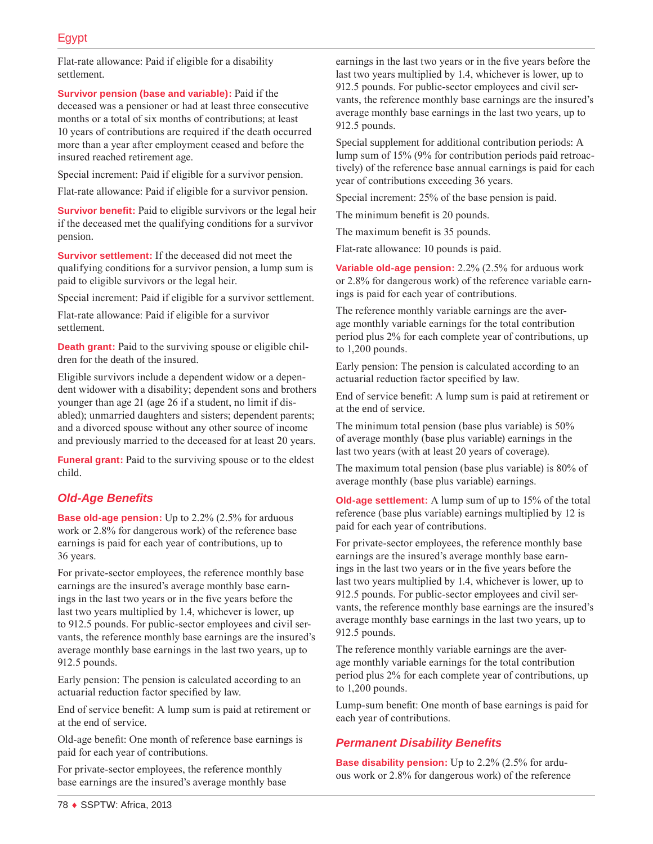Flat-rate allowance: Paid if eligible for a disability settlement.

**Survivor pension (base and variable):** Paid if the deceased was a pensioner or had at least three consecutive months or a total of six months of contributions; at least 10 years of contributions are required if the death occurred more than a year after employment ceased and before the insured reached retirement age.

Special increment: Paid if eligible for a survivor pension.

Flat-rate allowance: Paid if eligible for a survivor pension.

**Survivor benefit:** Paid to eligible survivors or the legal heir if the deceased met the qualifying conditions for a survivor pension.

**Survivor settlement:** If the deceased did not meet the qualifying conditions for a survivor pension, a lump sum is paid to eligible survivors or the legal heir.

Special increment: Paid if eligible for a survivor settlement.

Flat-rate allowance: Paid if eligible for a survivor settlement.

**Death grant:** Paid to the surviving spouse or eligible children for the death of the insured.

Eligible survivors include a dependent widow or a dependent widower with a disability; dependent sons and brothers younger than age 21 (age 26 if a student, no limit if disabled); unmarried daughters and sisters; dependent parents; and a divorced spouse without any other source of income and previously married to the deceased for at least 20 years.

**Funeral grant:** Paid to the surviving spouse or to the eldest child.

### *Old-Age Benefits*

**Base old-age pension:** Up to 2.2% (2.5% for arduous work or 2.8% for dangerous work) of the reference base earnings is paid for each year of contributions, up to 36 years.

For private-sector employees, the reference monthly base earnings are the insured's average monthly base earnings in the last two years or in the five years before the last two years multiplied by 1.4, whichever is lower, up to 912.5 pounds. For public-sector employees and civil servants, the reference monthly base earnings are the insured's average monthly base earnings in the last two years, up to 912.5 pounds.

Early pension: The pension is calculated according to an actuarial reduction factor specified by law.

End of service benefit: A lump sum is paid at retirement or at the end of service.

Old-age benefit: One month of reference base earnings is paid for each year of contributions.

For private-sector employees, the reference monthly base earnings are the insured's average monthly base earnings in the last two years or in the five years before the last two years multiplied by 1.4, whichever is lower, up to 912.5 pounds. For public-sector employees and civil servants, the reference monthly base earnings are the insured's average monthly base earnings in the last two years, up to 912.5 pounds.

Special supplement for additional contribution periods: A lump sum of 15% (9% for contribution periods paid retroactively) of the reference base annual earnings is paid for each year of contributions exceeding 36 years.

Special increment: 25% of the base pension is paid.

The minimum benefit is 20 pounds.

The maximum benefit is 35 pounds.

Flat-rate allowance: 10 pounds is paid.

**Variable old-age pension:** 2.2% (2.5% for arduous work or 2.8% for dangerous work) of the reference variable earnings is paid for each year of contributions.

The reference monthly variable earnings are the average monthly variable earnings for the total contribution period plus 2% for each complete year of contributions, up to 1,200 pounds.

Early pension: The pension is calculated according to an actuarial reduction factor specified by law.

End of service benefit: A lump sum is paid at retirement or at the end of service.

The minimum total pension (base plus variable) is 50% of average monthly (base plus variable) earnings in the last two years (with at least 20 years of coverage).

The maximum total pension (base plus variable) is 80% of average monthly (base plus variable) earnings.

**Old-age settlement:** A lump sum of up to 15% of the total reference (base plus variable) earnings multiplied by 12 is paid for each year of contributions.

For private-sector employees, the reference monthly base earnings are the insured's average monthly base earnings in the last two years or in the five years before the last two years multiplied by 1.4, whichever is lower, up to 912.5 pounds. For public-sector employees and civil servants, the reference monthly base earnings are the insured's average monthly base earnings in the last two years, up to 912.5 pounds.

The reference monthly variable earnings are the average monthly variable earnings for the total contribution period plus 2% for each complete year of contributions, up to 1,200 pounds.

Lump-sum benefit: One month of base earnings is paid for each year of contributions.

### *Permanent Disability Benefits*

**Base disability pension:** Up to 2.2% (2.5% for arduous work or 2.8% for dangerous work) of the reference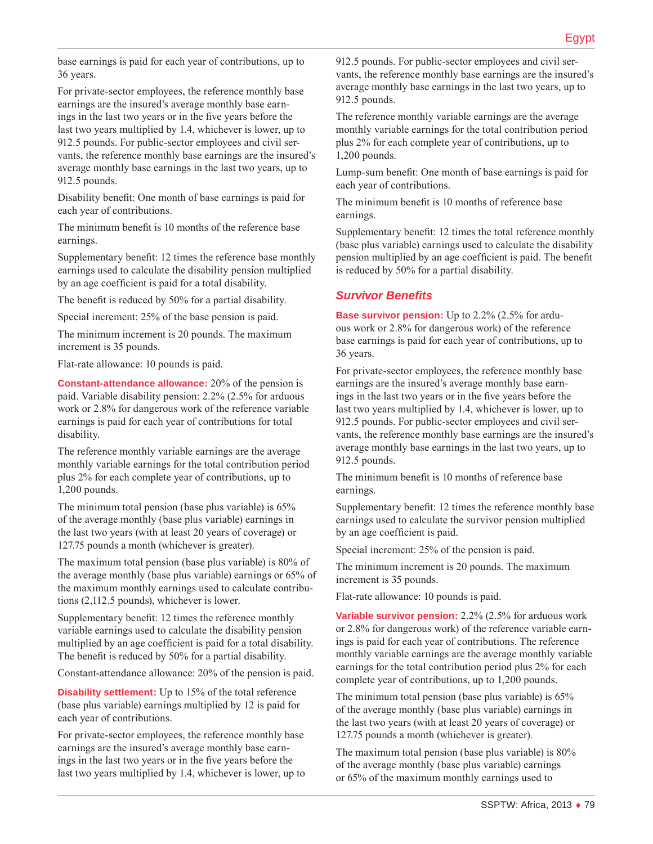base earnings is paid for each year of contributions, up to 36 years.

For private-sector employees, the reference monthly base earnings are the insured's average monthly base earnings in the last two years or in the five years before the last two years multiplied by 1.4, whichever is lower, up to 912.5 pounds. For public-sector employees and civil servants, the reference monthly base earnings are the insured's average monthly base earnings in the last two years, up to 912.5 pounds.

Disability benefit: One month of base earnings is paid for each year of contributions.

The minimum benefit is 10 months of the reference base earnings.

Supplementary benefit: 12 times the reference base monthly earnings used to calculate the disability pension multiplied by an age coefficient is paid for a total disability.

The benefit is reduced by 50% for a partial disability.

Special increment: 25% of the base pension is paid.

The minimum increment is 20 pounds. The maximum increment is 35 pounds.

Flat-rate allowance: 10 pounds is paid.

**Constant-attendance allowance:** 20% of the pension is paid. Variable disability pension: 2.2% (2.5% for arduous work or 2.8% for dangerous work of the reference variable earnings is paid for each year of contributions for total disability.

The reference monthly variable earnings are the average monthly variable earnings for the total contribution period plus 2% for each complete year of contributions, up to 1,200 pounds.

The minimum total pension (base plus variable) is 65% of the average monthly (base plus variable) earnings in the last two years (with at least 20 years of coverage) or 127.75 pounds a month (whichever is greater).

The maximum total pension (base plus variable) is 80% of the average monthly (base plus variable) earnings or 65% of the maximum monthly earnings used to calculate contributions (2,112.5 pounds), whichever is lower.

Supplementary benefit: 12 times the reference monthly variable earnings used to calculate the disability pension multiplied by an age coefficient is paid for a total disability. The benefit is reduced by 50% for a partial disability.

Constant-attendance allowance: 20% of the pension is paid.

**Disability settlement:** Up to 15% of the total reference (base plus variable) earnings multiplied by 12 is paid for each year of contributions.

For private-sector employees, the reference monthly base earnings are the insured's average monthly base earnings in the last two years or in the five years before the last two years multiplied by 1.4, whichever is lower, up to 912.5 pounds. For public-sector employees and civil servants, the reference monthly base earnings are the insured's average monthly base earnings in the last two years, up to 912.5 pounds.

The reference monthly variable earnings are the average monthly variable earnings for the total contribution period plus 2% for each complete year of contributions, up to 1,200 pounds.

Lump-sum benefit: One month of base earnings is paid for each year of contributions.

The minimum benefit is 10 months of reference base earnings.

Supplementary benefit: 12 times the total reference monthly (base plus variable) earnings used to calculate the disability pension multiplied by an age coefficient is paid. The benefit is reduced by 50% for a partial disability.

### *Survivor Benefits*

**Base survivor pension:** Up to 2.2% (2.5% for arduous work or 2.8% for dangerous work) of the reference base earnings is paid for each year of contributions, up to 36 years.

For private-sector employees, the reference monthly base earnings are the insured's average monthly base earnings in the last two years or in the five years before the last two years multiplied by 1.4, whichever is lower, up to 912.5 pounds. For public-sector employees and civil servants, the reference monthly base earnings are the insured's average monthly base earnings in the last two years, up to 912.5 pounds.

The minimum benefit is 10 months of reference base earnings.

Supplementary benefit: 12 times the reference monthly base earnings used to calculate the survivor pension multiplied by an age coefficient is paid.

Special increment: 25% of the pension is paid.

The minimum increment is 20 pounds. The maximum increment is 35 pounds.

Flat-rate allowance: 10 pounds is paid.

**Variable survivor pension:** 2.2% (2.5% for arduous work or 2.8% for dangerous work) of the reference variable earnings is paid for each year of contributions. The reference monthly variable earnings are the average monthly variable earnings for the total contribution period plus 2% for each complete year of contributions, up to 1,200 pounds.

The minimum total pension (base plus variable) is 65% of the average monthly (base plus variable) earnings in the last two years (with at least 20 years of coverage) or 127.75 pounds a month (whichever is greater).

The maximum total pension (base plus variable) is 80% of the average monthly (base plus variable) earnings or 65% of the maximum monthly earnings used to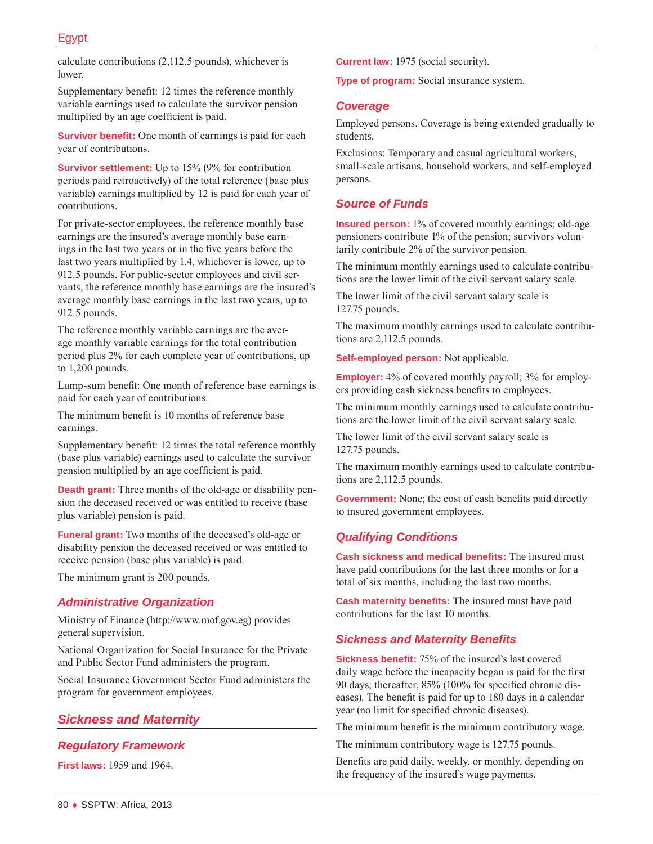calculate contributions (2,112.5 pounds), whichever is lower.

Supplementary benefit: 12 times the reference monthly variable earnings used to calculate the survivor pension multiplied by an age coefficient is paid.

**Survivor benefit:** One month of earnings is paid for each year of contributions.

**Survivor settlement:** Up to 15% (9% for contribution periods paid retroactively) of the total reference (base plus variable) earnings multiplied by 12 is paid for each year of contributions.

For private-sector employees, the reference monthly base earnings are the insured's average monthly base earnings in the last two years or in the five years before the last two years multiplied by 1.4, whichever is lower, up to 912.5 pounds. For public-sector employees and civil servants, the reference monthly base earnings are the insured's average monthly base earnings in the last two years, up to 912.5 pounds.

The reference monthly variable earnings are the average monthly variable earnings for the total contribution period plus 2% for each complete year of contributions, up to 1,200 pounds.

Lump-sum benefit: One month of reference base earnings is paid for each year of contributions.

The minimum benefit is 10 months of reference base earnings.

Supplementary benefit: 12 times the total reference monthly (base plus variable) earnings used to calculate the survivor pension multiplied by an age coefficient is paid.

**Death grant:** Three months of the old-age or disability pension the deceased received or was entitled to receive (base plus variable) pension is paid.

**Funeral grant:** Two months of the deceased's old-age or disability pension the deceased received or was entitled to receive pension (base plus variable) is paid.

The minimum grant is 200 pounds.

#### *Administrative Organization*

Ministry of Finance ([http://www.mof.gov.eg\)](http://www.mof.gov.eg) provides general supervision.

National Organization for Social Insurance for the Private and Public Sector Fund administers the program.

Social Insurance Government Sector Fund administers the program for government employees.

### *Sickness and Maternity*

### *Regulatory Framework*

**First laws:** 1959 and 1964.

**Current law:** 1975 (social security).

**Type of program:** Social insurance system.

#### *Coverage*

Employed persons. Coverage is being extended gradually to students.

Exclusions: Temporary and casual agricultural workers, small-scale artisans, household workers, and self-employed persons.

### *Source of Funds*

**Insured person:** 1% of covered monthly earnings; old-age pensioners contribute 1% of the pension; survivors voluntarily contribute 2% of the survivor pension.

The minimum monthly earnings used to calculate contributions are the lower limit of the civil servant salary scale.

The lower limit of the civil servant salary scale is 127.75 pounds.

The maximum monthly earnings used to calculate contributions are 2,112.5 pounds.

**Self-employed person:** Not applicable.

**Employer:** 4% of covered monthly payroll; 3% for employers providing cash sickness benefits to employees.

The minimum monthly earnings used to calculate contributions are the lower limit of the civil servant salary scale.

The lower limit of the civil servant salary scale is 127.75 pounds.

The maximum monthly earnings used to calculate contributions are 2,112.5 pounds.

**Government:** None; the cost of cash benefits paid directly to insured government employees.

#### *Qualifying Conditions*

**Cash sickness and medical benefits:** The insured must have paid contributions for the last three months or for a total of six months, including the last two months.

**Cash maternity benefits:** The insured must have paid contributions for the last 10 months.

### *Sickness and Maternity Benefits*

**Sickness benefit:** 75% of the insured's last covered daily wage before the incapacity began is paid for the first 90 days; thereafter, 85% (100% for specified chronic diseases). The benefit is paid for up to 180 days in a calendar year (no limit for specified chronic diseases).

The minimum benefit is the minimum contributory wage.

The minimum contributory wage is 127.75 pounds.

Benefits are paid daily, weekly, or monthly, depending on the frequency of the insured's wage payments.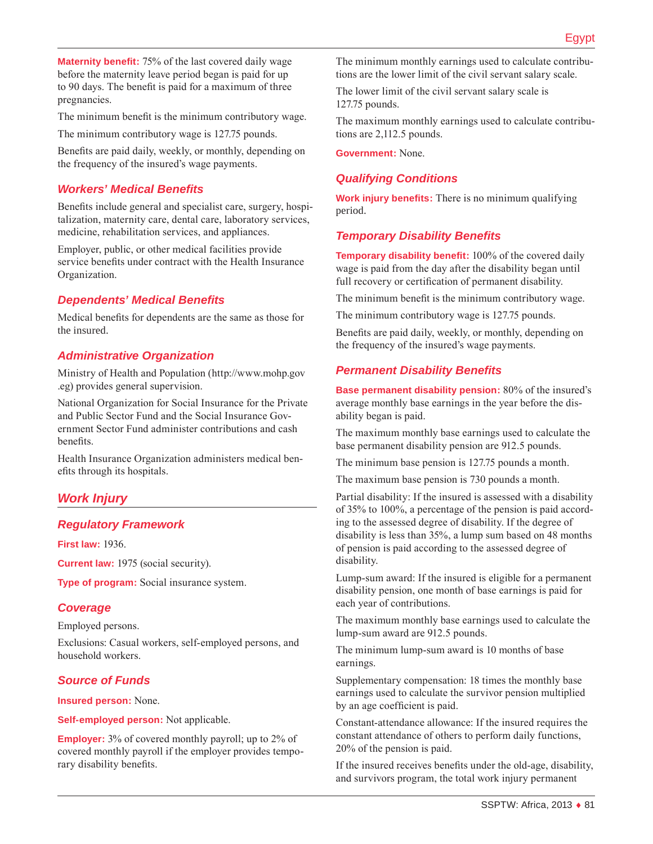**Maternity benefit:** 75% of the last covered daily wage before the maternity leave period began is paid for up to 90 days. The benefit is paid for a maximum of three pregnancies.

The minimum benefit is the minimum contributory wage.

The minimum contributory wage is 127.75 pounds.

Benefits are paid daily, weekly, or monthly, depending on the frequency of the insured's wage payments.

# *Workers' Medical Benefits*

Benefits include general and specialist care, surgery, hospitalization, maternity care, dental care, laboratory services, medicine, rehabilitation services, and appliances.

Employer, public, or other medical facilities provide service benefits under contract with the Health Insurance Organization.

### *Dependents' Medical Benefits*

Medical benefits for dependents are the same as those for the insured.

### *Administrative Organization*

Ministry of Health and Population ([http://www.mohp.gov](http://www.mohp.gov.eg) [.eg\)](http://www.mohp.gov.eg) provides general supervision.

National Organization for Social Insurance for the Private and Public Sector Fund and the Social Insurance Government Sector Fund administer contributions and cash benefits.

Health Insurance Organization administers medical benefits through its hospitals.

# *Work Injury*

### *Regulatory Framework*

**First law:** 1936.

**Current law:** 1975 (social security).

**Type of program:** Social insurance system.

### *Coverage*

Employed persons.

Exclusions: Casual workers, self-employed persons, and household workers.

### *Source of Funds*

**Insured person:** None.

**Self-employed person:** Not applicable.

**Employer:** 3% of covered monthly payroll; up to 2% of covered monthly payroll if the employer provides temporary disability benefits.

The minimum monthly earnings used to calculate contributions are the lower limit of the civil servant salary scale.

The lower limit of the civil servant salary scale is 127.75 pounds.

The maximum monthly earnings used to calculate contributions are 2,112.5 pounds.

**Government:** None.

# *Qualifying Conditions*

**Work injury benefits:** There is no minimum qualifying period.

### *Temporary Disability Benefits*

**Temporary disability benefit:** 100% of the covered daily wage is paid from the day after the disability began until full recovery or certification of permanent disability.

The minimum benefit is the minimum contributory wage.

The minimum contributory wage is 127.75 pounds.

Benefits are paid daily, weekly, or monthly, depending on the frequency of the insured's wage payments.

### *Permanent Disability Benefits*

**Base permanent disability pension:** 80% of the insured's average monthly base earnings in the year before the disability began is paid.

The maximum monthly base earnings used to calculate the base permanent disability pension are 912.5 pounds.

The minimum base pension is 127.75 pounds a month.

The maximum base pension is 730 pounds a month.

Partial disability: If the insured is assessed with a disability of 35% to 100%, a percentage of the pension is paid according to the assessed degree of disability. If the degree of disability is less than 35%, a lump sum based on 48 months of pension is paid according to the assessed degree of disability.

Lump-sum award: If the insured is eligible for a permanent disability pension, one month of base earnings is paid for each year of contributions.

The maximum monthly base earnings used to calculate the lump-sum award are 912.5 pounds.

The minimum lump-sum award is 10 months of base earnings.

Supplementary compensation: 18 times the monthly base earnings used to calculate the survivor pension multiplied by an age coefficient is paid.

Constant-attendance allowance: If the insured requires the constant attendance of others to perform daily functions, 20% of the pension is paid.

If the insured receives benefits under the old-age, disability, and survivors program, the total work injury permanent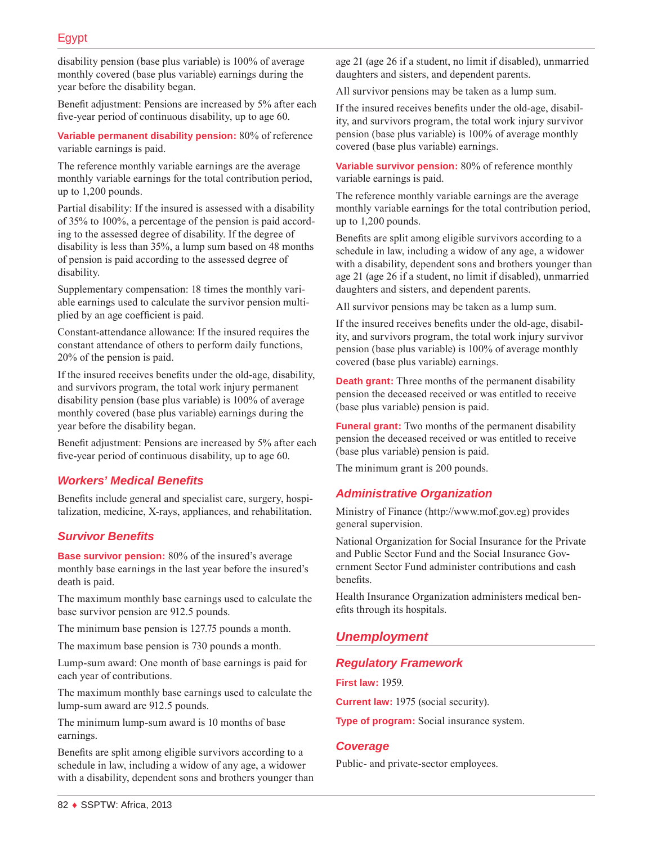disability pension (base plus variable) is 100% of average monthly covered (base plus variable) earnings during the year before the disability began.

Benefit adjustment: Pensions are increased by 5% after each five-year period of continuous disability, up to age 60.

**Variable permanent disability pension:** 80% of reference variable earnings is paid.

The reference monthly variable earnings are the average monthly variable earnings for the total contribution period, up to 1,200 pounds.

Partial disability: If the insured is assessed with a disability of 35% to 100%, a percentage of the pension is paid according to the assessed degree of disability. If the degree of disability is less than 35%, a lump sum based on 48 months of pension is paid according to the assessed degree of disability.

Supplementary compensation: 18 times the monthly variable earnings used to calculate the survivor pension multiplied by an age coefficient is paid.

Constant-attendance allowance: If the insured requires the constant attendance of others to perform daily functions, 20% of the pension is paid.

If the insured receives benefits under the old-age, disability, and survivors program, the total work injury permanent disability pension (base plus variable) is 100% of average monthly covered (base plus variable) earnings during the year before the disability began.

Benefit adjustment: Pensions are increased by 5% after each five-year period of continuous disability, up to age 60.

### *Workers' Medical Benefits*

Benefits include general and specialist care, surgery, hospitalization, medicine, X-rays, appliances, and rehabilitation.

### *Survivor Benefits*

**Base survivor pension:** 80% of the insured's average monthly base earnings in the last year before the insured's death is paid.

The maximum monthly base earnings used to calculate the base survivor pension are 912.5 pounds.

The minimum base pension is 127.75 pounds a month.

The maximum base pension is 730 pounds a month.

Lump-sum award: One month of base earnings is paid for each year of contributions.

The maximum monthly base earnings used to calculate the lump-sum award are 912.5 pounds.

The minimum lump-sum award is 10 months of base earnings.

Benefits are split among eligible survivors according to a schedule in law, including a widow of any age, a widower with a disability, dependent sons and brothers younger than age 21 (age 26 if a student, no limit if disabled), unmarried daughters and sisters, and dependent parents.

All survivor pensions may be taken as a lump sum.

If the insured receives benefits under the old-age, disability, and survivors program, the total work injury survivor pension (base plus variable) is 100% of average monthly covered (base plus variable) earnings.

**Variable survivor pension:** 80% of reference monthly variable earnings is paid.

The reference monthly variable earnings are the average monthly variable earnings for the total contribution period, up to 1,200 pounds.

Benefits are split among eligible survivors according to a schedule in law, including a widow of any age, a widower with a disability, dependent sons and brothers younger than age 21 (age 26 if a student, no limit if disabled), unmarried daughters and sisters, and dependent parents.

All survivor pensions may be taken as a lump sum.

If the insured receives benefits under the old-age, disability, and survivors program, the total work injury survivor pension (base plus variable) is 100% of average monthly covered (base plus variable) earnings.

**Death grant:** Three months of the permanent disability pension the deceased received or was entitled to receive (base plus variable) pension is paid.

**Funeral grant:** Two months of the permanent disability pension the deceased received or was entitled to receive (base plus variable) pension is paid.

The minimum grant is 200 pounds.

#### *Administrative Organization*

Ministry of Finance ([http://www.mof.gov.eg\)](http://www.mof.gov.eg) provides general supervision.

National Organization for Social Insurance for the Private and Public Sector Fund and the Social Insurance Government Sector Fund administer contributions and cash benefits.

Health Insurance Organization administers medical benefits through its hospitals.

### *Unemployment*

#### *Regulatory Framework*

**First law:** 1959.

**Current law:** 1975 (social security).

**Type of program:** Social insurance system.

#### *Coverage*

Public- and private-sector employees.